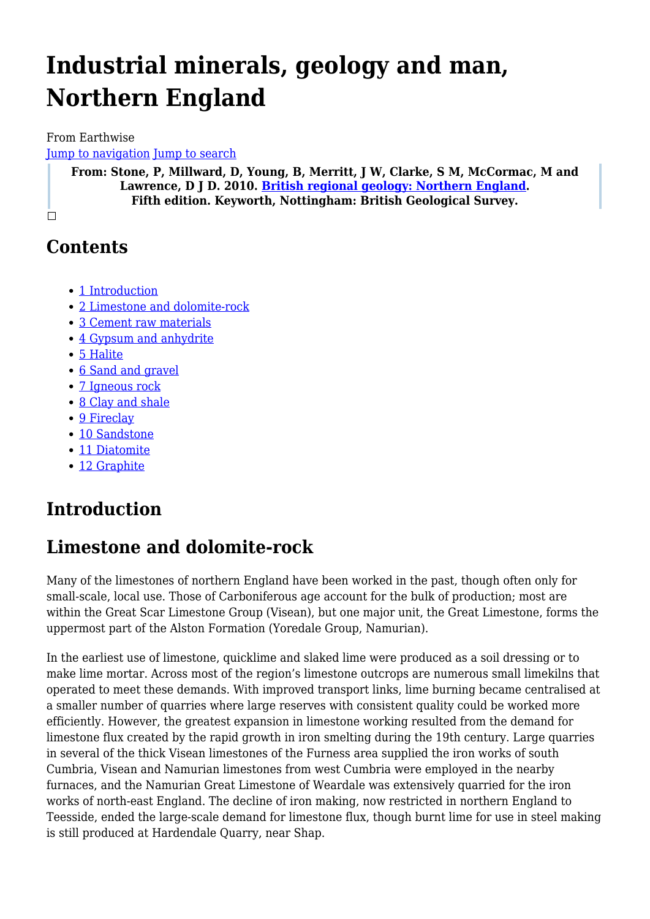# **Industrial minerals, geology and man, Northern England**

From Earthwise

[Jump to navigation](#page--1-0) [Jump to search](#page--1-0)

**From: Stone, P, Millward, D, Young, B, Merritt, J W, Clarke, S M, McCormac, M and Lawrence, D J D. 2010. [British regional geology: Northern England.](http://earthwise.bgs.ac.uk/index.php/British_regional_geology:_Northern_England) Fifth edition. Keyworth, Nottingham: British Geological Survey.**

 $\Box$ 

## **Contents**

- [1](#page--1-0) [Introduction](#page--1-0)
- [2](#page--1-0) [Limestone and dolomite-rock](#page--1-0)
- [3](#page--1-0) [Cement raw materials](#page--1-0)
- [4](#page--1-0) [Gypsum and anhydrite](#page--1-0)
- [5](#page--1-0) [Halite](#page--1-0)
- [6](#page--1-0) [Sand and gravel](#page--1-0)
- [7](#page--1-0) [Igneous rock](#page--1-0)
- [8](#page--1-0) [Clay and shale](#page--1-0)
- [9](#page--1-0) [Fireclay](#page--1-0)
- [10](#page--1-0) [Sandstone](#page--1-0)
- [11](#page--1-0) [Diatomite](#page--1-0)
- [12](#page--1-0) [Graphite](#page--1-0)

### **Introduction**

## **Limestone and dolomite-rock**

Many of the limestones of northern England have been worked in the past, though often only for small-scale, local use. Those of Carboniferous age account for the bulk of production; most are within the Great Scar Limestone Group (Visean), but one major unit, the Great Limestone, forms the uppermost part of the Alston Formation (Yoredale Group, Namurian).

In the earliest use of limestone, quicklime and slaked lime were produced as a soil dressing or to make lime mortar. Across most of the region's limestone outcrops are numerous small limekilns that operated to meet these demands. With improved transport links, lime burning became centralised at a smaller number of quarries where large reserves with consistent quality could be worked more efficiently. However, the greatest expansion in limestone working resulted from the demand for limestone flux created by the rapid growth in iron smelting during the 19th century. Large quarries in several of the thick Visean limestones of the Furness area supplied the iron works of south Cumbria, Visean and Namurian limestones from west Cumbria were employed in the nearby furnaces, and the Namurian Great Limestone of Weardale was extensively quarried for the iron works of north-east England. The decline of iron making, now restricted in northern England to Teesside, ended the large-scale demand for limestone flux, though burnt lime for use in steel making is still produced at Hardendale Quarry, near Shap.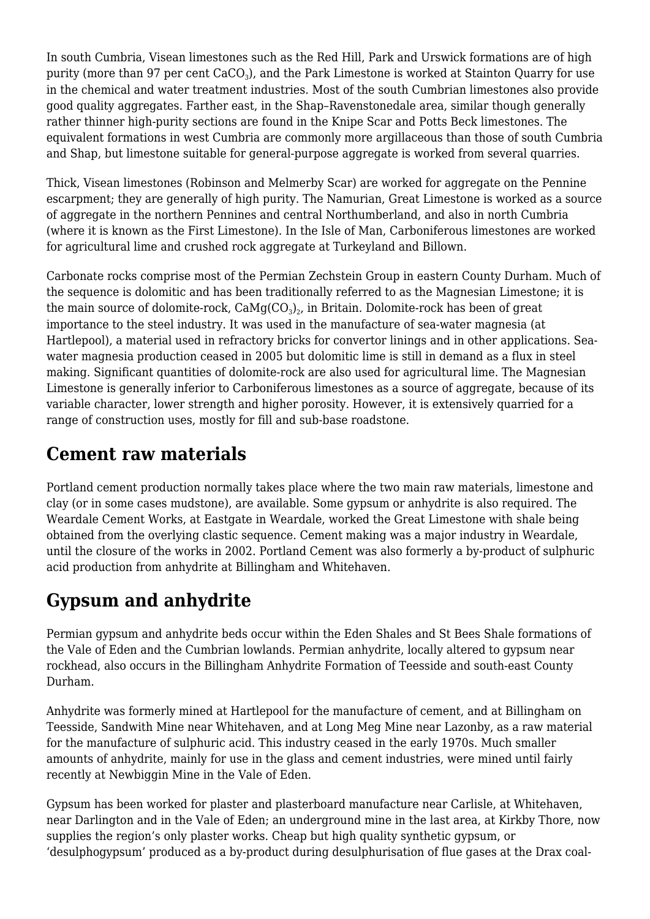In south Cumbria, Visean limestones such as the Red Hill, Park and Urswick formations are of high purity (more than 97 per cent CaCO $_{3}$ ), and the Park Limestone is worked at Stainton Quarry for use in the chemical and water treatment industries. Most of the south Cumbrian limestones also provide good quality aggregates. Farther east, in the Shap–Ravenstonedale area, similar though generally rather thinner high-purity sections are found in the Knipe Scar and Potts Beck limestones. The equivalent formations in west Cumbria are commonly more argillaceous than those of south Cumbria and Shap, but limestone suitable for general-purpose aggregate is worked from several quarries.

Thick, Visean limestones (Robinson and Melmerby Scar) are worked for aggregate on the Pennine escarpment; they are generally of high purity. The Namurian, Great Limestone is worked as a source of aggregate in the northern Pennines and central Northumberland, and also in north Cumbria (where it is known as the First Limestone). In the Isle of Man, Carboniferous limestones are worked for agricultural lime and crushed rock aggregate at Turkeyland and Billown.

Carbonate rocks comprise most of the Permian Zechstein Group in eastern County Durham. Much of the sequence is dolomitic and has been traditionally referred to as the Magnesian Limestone; it is the main source of dolomite-rock, CaMg(CO $_3)_2$ , in Britain. Dolomite-rock has been of great importance to the steel industry. It was used in the manufacture of sea-water magnesia (at Hartlepool), a material used in refractory bricks for convertor linings and in other applications. Seawater magnesia production ceased in 2005 but dolomitic lime is still in demand as a flux in steel making. Significant quantities of dolomite-rock are also used for agricultural lime. The Magnesian Limestone is generally inferior to Carboniferous limestones as a source of aggregate, because of its variable character, lower strength and higher porosity. However, it is extensively quarried for a range of construction uses, mostly for fill and sub-base roadstone.

### **Cement raw materials**

Portland cement production normally takes place where the two main raw materials, limestone and clay (or in some cases mudstone), are available. Some gypsum or anhydrite is also required. The Weardale Cement Works, at Eastgate in Weardale, worked the Great Limestone with shale being obtained from the overlying clastic sequence. Cement making was a major industry in Weardale, until the closure of the works in 2002. Portland Cement was also formerly a by-product of sulphuric acid production from anhydrite at Billingham and Whitehaven.

### **Gypsum and anhydrite**

Permian gypsum and anhydrite beds occur within the Eden Shales and St Bees Shale formations of the Vale of Eden and the Cumbrian lowlands. Permian anhydrite, locally altered to gypsum near rockhead, also occurs in the Billingham Anhydrite Formation of Teesside and south-east County Durham.

Anhydrite was formerly mined at Hartlepool for the manufacture of cement, and at Billingham on Teesside, Sandwith Mine near Whitehaven, and at Long Meg Mine near Lazonby, as a raw material for the manufacture of sulphuric acid. This industry ceased in the early 1970s. Much smaller amounts of anhydrite, mainly for use in the glass and cement industries, were mined until fairly recently at Newbiggin Mine in the Vale of Eden.

Gypsum has been worked for plaster and plasterboard manufacture near Carlisle, at Whitehaven, near Darlington and in the Vale of Eden; an underground mine in the last area, at Kirkby Thore, now supplies the region's only plaster works. Cheap but high quality synthetic gypsum, or 'desulphogypsum' produced as a by-product during desulphurisation of flue gases at the Drax coal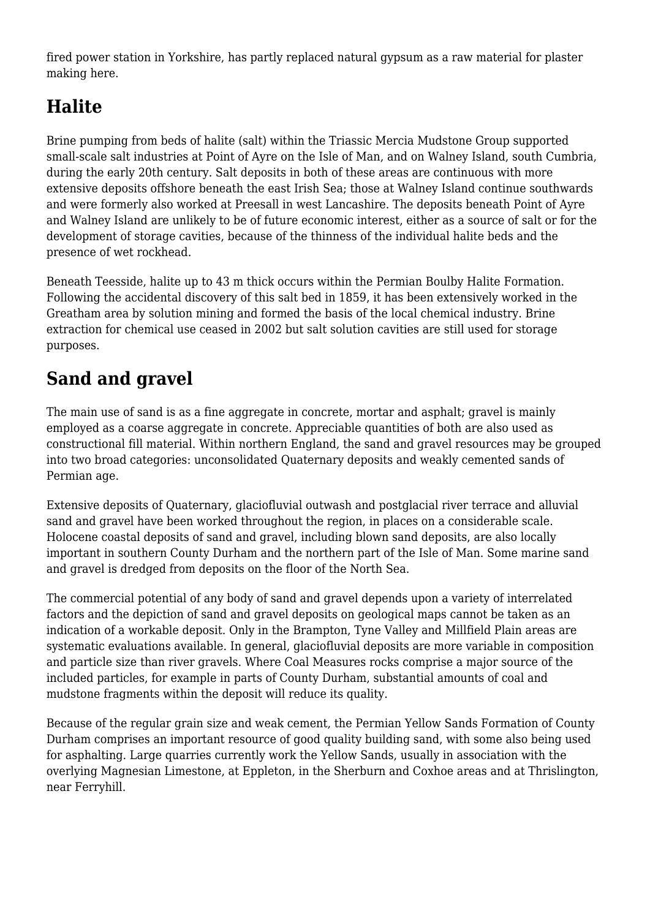fired power station in Yorkshire, has partly replaced natural gypsum as a raw material for plaster making here.

### **Halite**

Brine pumping from beds of halite (salt) within the Triassic Mercia Mudstone Group supported small-scale salt industries at Point of Ayre on the Isle of Man, and on Walney Island, south Cumbria, during the early 20th century. Salt deposits in both of these areas are continuous with more extensive deposits offshore beneath the east Irish Sea; those at Walney Island continue southwards and were formerly also worked at Preesall in west Lancashire. The deposits beneath Point of Ayre and Walney Island are unlikely to be of future economic interest, either as a source of salt or for the development of storage cavities, because of the thinness of the individual halite beds and the presence of wet rockhead.

Beneath Teesside, halite up to 43 m thick occurs within the Permian Boulby Halite Formation. Following the accidental discovery of this salt bed in 1859, it has been extensively worked in the Greatham area by solution mining and formed the basis of the local chemical industry. Brine extraction for chemical use ceased in 2002 but salt solution cavities are still used for storage purposes.

## **Sand and gravel**

The main use of sand is as a fine aggregate in concrete, mortar and asphalt; gravel is mainly employed as a coarse aggregate in concrete. Appreciable quantities of both are also used as constructional fill material. Within northern England, the sand and gravel resources may be grouped into two broad categories: unconsolidated Quaternary deposits and weakly cemented sands of Permian age.

Extensive deposits of Quaternary, glaciofluvial outwash and postglacial river terrace and alluvial sand and gravel have been worked throughout the region, in places on a considerable scale. Holocene coastal deposits of sand and gravel, including blown sand deposits, are also locally important in southern County Durham and the northern part of the Isle of Man. Some marine sand and gravel is dredged from deposits on the floor of the North Sea.

The commercial potential of any body of sand and gravel depends upon a variety of interrelated factors and the depiction of sand and gravel deposits on geological maps cannot be taken as an indication of a workable deposit. Only in the Brampton, Tyne Valley and Millfield Plain areas are systematic evaluations available. In general, glaciofluvial deposits are more variable in composition and particle size than river gravels. Where Coal Measures rocks comprise a major source of the included particles, for example in parts of County Durham, substantial amounts of coal and mudstone fragments within the deposit will reduce its quality.

Because of the regular grain size and weak cement, the Permian Yellow Sands Formation of County Durham comprises an important resource of good quality building sand, with some also being used for asphalting. Large quarries currently work the Yellow Sands, usually in association with the overlying Magnesian Limestone, at Eppleton, in the Sherburn and Coxhoe areas and at Thrislington, near Ferryhill.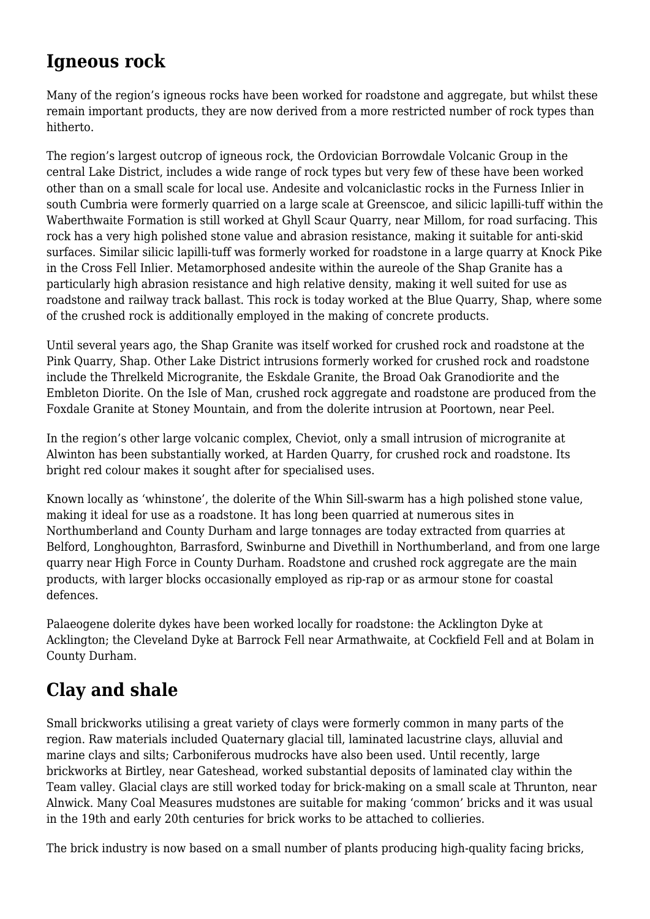#### **Igneous rock**

Many of the region's igneous rocks have been worked for roadstone and aggregate, but whilst these remain important products, they are now derived from a more restricted number of rock types than hitherto.

The region's largest outcrop of igneous rock, the Ordovician Borrowdale Volcanic Group in the central Lake District, includes a wide range of rock types but very few of these have been worked other than on a small scale for local use. Andesite and volcaniclastic rocks in the Furness Inlier in south Cumbria were formerly quarried on a large scale at Greenscoe, and silicic lapilli-tuff within the Waberthwaite Formation is still worked at Ghyll Scaur Quarry, near Millom, for road surfacing. This rock has a very high polished stone value and abrasion resistance, making it suitable for anti-skid surfaces. Similar silicic lapilli-tuff was formerly worked for roadstone in a large quarry at Knock Pike in the Cross Fell Inlier. Metamorphosed andesite within the aureole of the Shap Granite has a particularly high abrasion resistance and high relative density, making it well suited for use as roadstone and railway track ballast. This rock is today worked at the Blue Quarry, Shap, where some of the crushed rock is additionally employed in the making of concrete products.

Until several years ago, the Shap Granite was itself worked for crushed rock and roadstone at the Pink Quarry, Shap. Other Lake District intrusions formerly worked for crushed rock and roadstone include the Threlkeld Microgranite, the Eskdale Granite, the Broad Oak Granodiorite and the Embleton Diorite. On the Isle of Man, crushed rock aggregate and roadstone are produced from the Foxdale Granite at Stoney Mountain, and from the dolerite intrusion at Poortown, near Peel.

In the region's other large volcanic complex, Cheviot, only a small intrusion of microgranite at Alwinton has been substantially worked, at Harden Quarry, for crushed rock and roadstone. Its bright red colour makes it sought after for specialised uses.

Known locally as 'whinstone', the dolerite of the Whin Sill-swarm has a high polished stone value, making it ideal for use as a roadstone. It has long been quarried at numerous sites in Northumberland and County Durham and large tonnages are today extracted from quarries at Belford, Longhoughton, Barrasford, Swinburne and Divethill in Northumberland, and from one large quarry near High Force in County Durham. Roadstone and crushed rock aggregate are the main products, with larger blocks occasionally employed as rip-rap or as armour stone for coastal defences.

Palaeogene dolerite dykes have been worked locally for roadstone: the Acklington Dyke at Acklington; the Cleveland Dyke at Barrock Fell near Armathwaite, at Cockfield Fell and at Bolam in County Durham.

### **Clay and shale**

Small brickworks utilising a great variety of clays were formerly common in many parts of the region. Raw materials included Quaternary glacial till, laminated lacustrine clays, alluvial and marine clays and silts; Carboniferous mudrocks have also been used. Until recently, large brickworks at Birtley, near Gateshead, worked substantial deposits of laminated clay within the Team valley. Glacial clays are still worked today for brick-making on a small scale at Thrunton, near Alnwick. Many Coal Measures mudstones are suitable for making 'common' bricks and it was usual in the 19th and early 20th centuries for brick works to be attached to collieries.

The brick industry is now based on a small number of plants producing high-quality facing bricks,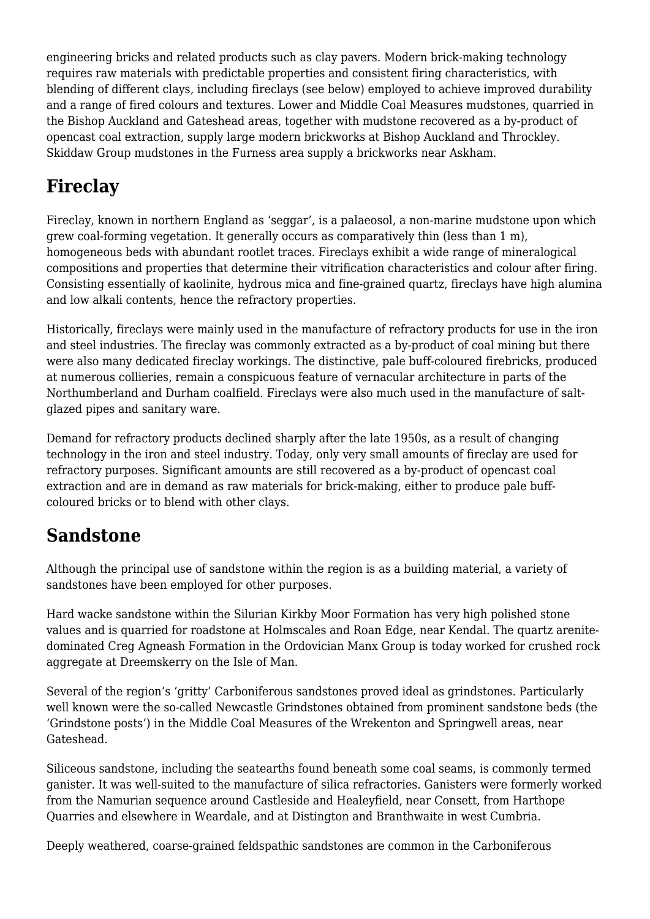engineering bricks and related products such as clay pavers. Modern brick-making technology requires raw materials with predictable properties and consistent firing characteristics, with blending of different clays, including fireclays (see below) employed to achieve improved durability and a range of fired colours and textures. Lower and Middle Coal Measures mudstones, quarried in the Bishop Auckland and Gateshead areas, together with mudstone recovered as a by-product of opencast coal extraction, supply large modern brickworks at Bishop Auckland and Throckley. Skiddaw Group mudstones in the Furness area supply a brickworks near Askham.

## **Fireclay**

Fireclay, known in northern England as 'seggar', is a palaeosol, a non-marine mudstone upon which grew coal-forming vegetation. It generally occurs as comparatively thin (less than 1 m), homogeneous beds with abundant rootlet traces. Fireclays exhibit a wide range of mineralogical compositions and properties that determine their vitrification characteristics and colour after firing. Consisting essentially of kaolinite, hydrous mica and fine-grained quartz, fireclays have high alumina and low alkali contents, hence the refractory properties.

Historically, fireclays were mainly used in the manufacture of refractory products for use in the iron and steel industries. The fireclay was commonly extracted as a by-product of coal mining but there were also many dedicated fireclay workings. The distinctive, pale buff-coloured firebricks, produced at numerous collieries, remain a conspicuous feature of vernacular architecture in parts of the Northumberland and Durham coalfield. Fireclays were also much used in the manufacture of saltglazed pipes and sanitary ware.

Demand for refractory products declined sharply after the late 1950s, as a result of changing technology in the iron and steel industry. Today, only very small amounts of fireclay are used for refractory purposes. Significant amounts are still recovered as a by-product of opencast coal extraction and are in demand as raw materials for brick-making, either to produce pale buffcoloured bricks or to blend with other clays.

## **Sandstone**

Although the principal use of sandstone within the region is as a building material, a variety of sandstones have been employed for other purposes.

Hard wacke sandstone within the Silurian Kirkby Moor Formation has very high polished stone values and is quarried for roadstone at Holmscales and Roan Edge, near Kendal. The quartz arenitedominated Creg Agneash Formation in the Ordovician Manx Group is today worked for crushed rock aggregate at Dreemskerry on the Isle of Man.

Several of the region's 'gritty' Carboniferous sandstones proved ideal as grindstones. Particularly well known were the so-called Newcastle Grindstones obtained from prominent sandstone beds (the 'Grindstone posts') in the Middle Coal Measures of the Wrekenton and Springwell areas, near Gateshead.

Siliceous sandstone, including the seatearths found beneath some coal seams, is commonly termed ganister. It was well-suited to the manufacture of silica refractories. Ganisters were formerly worked from the Namurian sequence around Castleside and Healeyfield, near Consett, from Harthope Quarries and elsewhere in Weardale, and at Distington and Branthwaite in west Cumbria.

Deeply weathered, coarse-grained feldspathic sandstones are common in the Carboniferous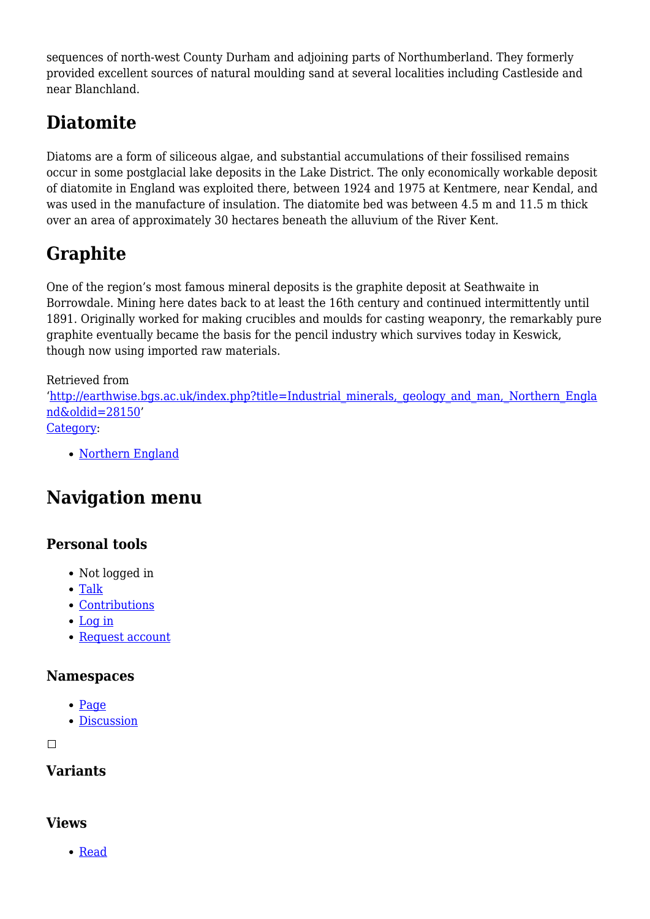sequences of north-west County Durham and adjoining parts of Northumberland. They formerly provided excellent sources of natural moulding sand at several localities including Castleside and near Blanchland.

## **Diatomite**

Diatoms are a form of siliceous algae, and substantial accumulations of their fossilised remains occur in some postglacial lake deposits in the Lake District. The only economically workable deposit of diatomite in England was exploited there, between 1924 and 1975 at Kentmere, near Kendal, and was used in the manufacture of insulation. The diatomite bed was between 4.5 m and 11.5 m thick over an area of approximately 30 hectares beneath the alluvium of the River Kent.

## **Graphite**

One of the region's most famous mineral deposits is the graphite deposit at Seathwaite in Borrowdale. Mining here dates back to at least the 16th century and continued intermittently until 1891. Originally worked for making crucibles and moulds for casting weaponry, the remarkably pure graphite eventually became the basis for the pencil industry which survives today in Keswick, though now using imported raw materials.

Retrieved from

'[http://earthwise.bgs.ac.uk/index.php?title=Industrial\\_minerals,\\_geology\\_and\\_man,\\_Northern\\_Engla](http://earthwise.bgs.ac.uk/index.php?title=Industrial_minerals,_geology_and_man,_Northern_England&oldid=28150) [nd&oldid=28150'](http://earthwise.bgs.ac.uk/index.php?title=Industrial_minerals,_geology_and_man,_Northern_England&oldid=28150) [Category](http://earthwise.bgs.ac.uk/index.php/Special:Categories):

• [Northern England](http://earthwise.bgs.ac.uk/index.php/Category:Northern_England)

## **Navigation menu**

#### **Personal tools**

- Not logged in
- [Talk](http://earthwise.bgs.ac.uk/index.php/Special:MyTalk)
- [Contributions](http://earthwise.bgs.ac.uk/index.php/Special:MyContributions)
- [Log in](http://earthwise.bgs.ac.uk/index.php?title=Special:UserLogin&returnto=Industrial+minerals%2C+geology+and+man%2C+Northern+England&returntoquery=action%3Dmpdf)
- [Request account](http://earthwise.bgs.ac.uk/index.php/Special:RequestAccount)

#### **Namespaces**

- $\bullet$  [Page](http://earthwise.bgs.ac.uk/index.php/Industrial_minerals,_geology_and_man,_Northern_England)
- [Discussion](http://earthwise.bgs.ac.uk/index.php?title=Talk:Industrial_minerals,_geology_and_man,_Northern_England&action=edit&redlink=1)

 $\Box$ 

#### **Variants**

#### **Views**

[Read](http://earthwise.bgs.ac.uk/index.php/Industrial_minerals,_geology_and_man,_Northern_England)